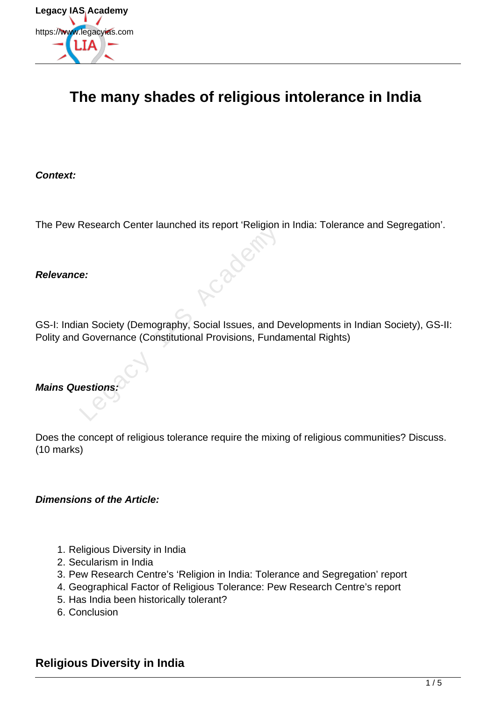

# **The many shades of religious intolerance in India**

**Context:**

The Pew Research Center launched its report 'Religion in India: Tolerance and Segregation'.

#### **Relevance:**

GS-I: Indian Society (Demography, Social Issues, and Developments in Indian Society), GS-II: Polity and Governance (Constitutional Provisions, Fundamental Rights) Exercises Controller Hautched As Feport Religion

#### **Mains Questions:**

Does the concept of religious tolerance require the mixing of religious communities? Discuss. (10 marks)

#### **Dimensions of the Article:**

- 1. Religious Diversity in India
- 2. Secularism in India
- 3. Pew Research Centre's 'Religion in India: Tolerance and Segregation' report
- 4. Geographical Factor of Religious Tolerance: Pew Research Centre's report
- 5. Has India been historically tolerant?
- 6. Conclusion

### **Religious Diversity in India**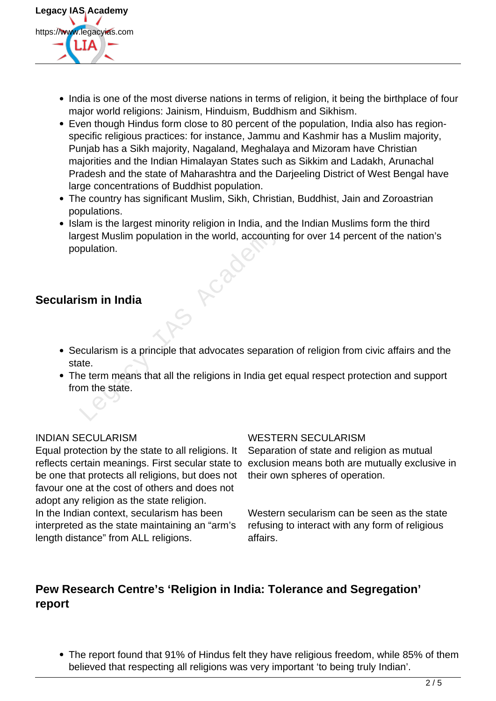

- India is one of the most diverse nations in terms of religion, it being the birthplace of four major world religions: Jainism, Hinduism, Buddhism and Sikhism.
- Even though Hindus form close to 80 percent of the population, India also has regionspecific religious practices: for instance, Jammu and Kashmir has a Muslim majority, Punjab has a Sikh majority, Nagaland, Meghalaya and Mizoram have Christian majorities and the Indian Himalayan States such as Sikkim and Ladakh, Arunachal Pradesh and the state of Maharashtra and the Darjeeling District of West Bengal have large concentrations of Buddhist population.
- The country has significant Muslim, Sikh, Christian, Buddhist, Jain and Zoroastrian populations.
- Islam is the largest minority religion in India, and the Indian Muslims form the third largest Muslim population in the world, accounting for over 14 percent of the nation's population. Example the star and the world, accounting<br>gest Muslim population in the world, accounting<br>pulation.<br>**Example 18 Accounting to the world**, accounting<br>accularism is a principle that advocates separaties<br>tate.<br>the term means

## **Secularism in India**

- Secularism is a principle that advocates separation of religion from civic affairs and the state.
- The term means that all the religions in India get equal respect protection and support from the state.

Equal protection by the state to all religions. It be one that protects all religions, but does not favour one at the cost of others and does not adopt any religion as the state religion. In the Indian context, secularism has been interpreted as the state maintaining an "arm's length distance" from ALL religions.

#### INDIAN SECULARISM WESTERN SECULARISM

reflects certain meanings. First secular state to exclusion means both are mutually exclusive in Separation of state and religion as mutual their own spheres of operation.

> Western secularism can be seen as the state refusing to interact with any form of religious affairs.

# **Pew Research Centre's 'Religion in India: Tolerance and Segregation' report**

The report found that 91% of Hindus felt they have religious freedom, while 85% of them believed that respecting all religions was very important 'to being truly Indian'.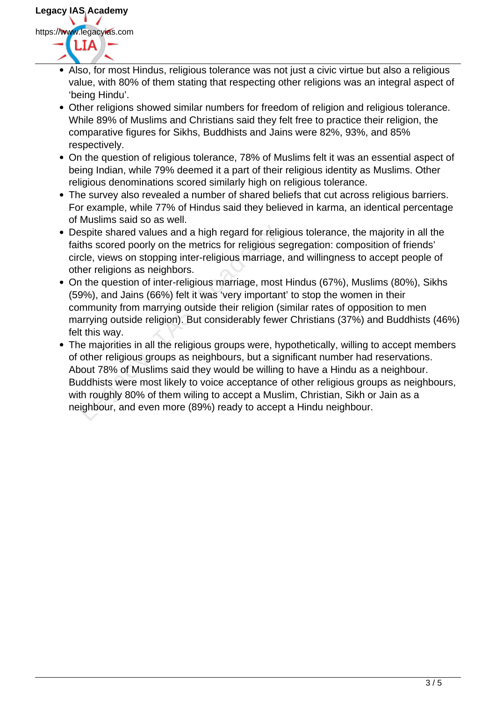

- Also, for most Hindus, religious tolerance was not just a civic virtue but also a religious value, with 80% of them stating that respecting other religions was an integral aspect of 'being Hindu'.
- Other religions showed similar numbers for freedom of religion and religious tolerance. While 89% of Muslims and Christians said they felt free to practice their religion, the comparative figures for Sikhs, Buddhists and Jains were 82%, 93%, and 85% respectively.
- On the question of religious tolerance, 78% of Muslims felt it was an essential aspect of being Indian, while 79% deemed it a part of their religious identity as Muslims. Other religious denominations scored similarly high on religious tolerance.
- The survey also revealed a number of shared beliefs that cut across religious barriers. For example, while 77% of Hindus said they believed in karma, an identical percentage of Muslims said so as well.
- Despite shared values and a high regard for religious tolerance, the majority in all the faiths scored poorly on the metrics for religious segregation: composition of friends' circle, views on stopping inter-religious marriage, and willingness to accept people of other religions as neighbors.
- On the question of inter-religious marriage, most Hindus (67%), Muslims (80%), Sikhs (59%), and Jains (66%) felt it was 'very important' to stop the women in their community from marrying outside their religion (similar rates of opposition to men marrying outside religion). But considerably fewer Christians (37%) and Buddhists (46%) felt this way.
- The majorities in all the religious groups were, hypothetically, willing to accept members of other religious groups as neighbours, but a significant number had reservations. About 78% of Muslims said they would be willing to have a Hindu as a neighbour. Buddhists were most likely to voice acceptance of other religious groups as neighbours, with roughly 80% of them wiling to accept a Muslim, Christian, Sikh or Jain as a Despite shared values and a high regard for religious tolerance, the r<br>faiths scored poorly on the metrics for religious segregation: composi<br>circle, views on stopping inter-religious marriage, and willingness to a<br>other r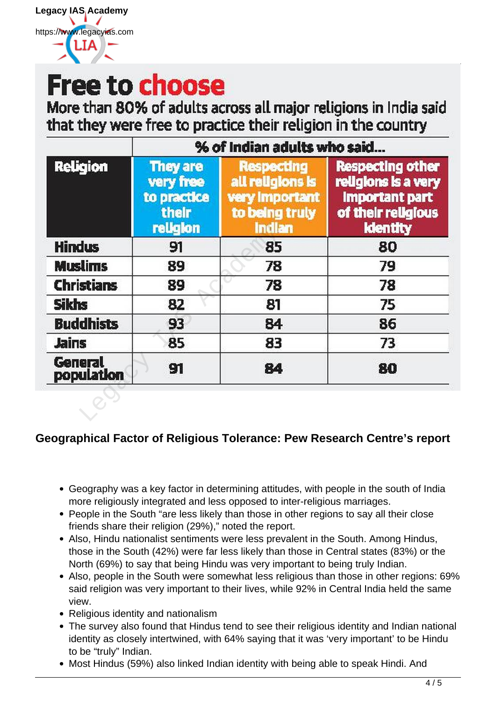# **Free to choose**

More than 80% of adults across all major religions in India said that they were free to practice their religion in the country

| <b>Religion</b>       | % of Indian adults who said                                      |                                                                                     |                                                                                                                  |
|-----------------------|------------------------------------------------------------------|-------------------------------------------------------------------------------------|------------------------------------------------------------------------------------------------------------------|
|                       | <b>They are</b><br>very free<br>to practice<br>their<br>religion | <b>Respecting</b><br>all religions is<br>very Important<br>to being truly<br>Indian | <b>Respecting other</b><br>religions is a very<br><b>Important part</b><br>of their religious<br><b>Identity</b> |
| <b>Hindus</b>         | 91                                                               | 85                                                                                  | 80                                                                                                               |
| <b>Muslims</b>        | 89                                                               | 78                                                                                  | 79                                                                                                               |
| <b>Christians</b>     | 89                                                               | 78                                                                                  | 78                                                                                                               |
| <b>Sikhs</b>          | 82                                                               | 81                                                                                  | 75                                                                                                               |
| <b>Buddhists</b>      | 93                                                               | 84                                                                                  | 86                                                                                                               |
| <b>Jains</b>          | 85                                                               | 83                                                                                  | 73                                                                                                               |
| General<br>population | 91                                                               | 84                                                                                  | 80                                                                                                               |
|                       |                                                                  |                                                                                     |                                                                                                                  |

# **Geographical Factor of Religious Tolerance: Pew Research Centre's report**

- Geography was a key factor in determining attitudes, with people in the south of India more religiously integrated and less opposed to inter-religious marriages.
- People in the South "are less likely than those in other regions to say all their close friends share their religion (29%)," noted the report.
- Also, Hindu nationalist sentiments were less prevalent in the South. Among Hindus, those in the South (42%) were far less likely than those in Central states (83%) or the North (69%) to say that being Hindu was very important to being truly Indian.
- Also, people in the South were somewhat less religious than those in other regions: 69% said religion was very important to their lives, while 92% in Central India held the same view.
- Religious identity and nationalism
- The survey also found that Hindus tend to see their religious identity and Indian national identity as closely intertwined, with 64% saying that it was 'very important' to be Hindu to be "truly" Indian.
- Most Hindus (59%) also linked Indian identity with being able to speak Hindi. And